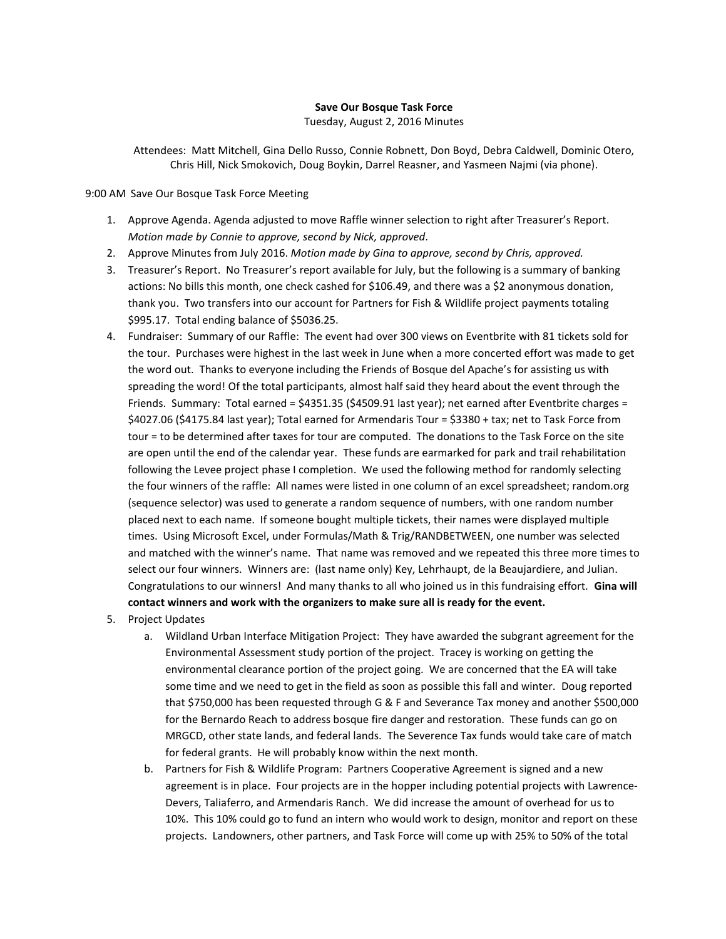## **Save Our Bosque Task Force**

Tuesday, August 2, 2016 Minutes

Attendees: Matt Mitchell, Gina Dello Russo, Connie Robnett, Don Boyd, Debra Caldwell, Dominic Otero, Chris Hill, Nick Smokovich, Doug Boykin, Darrel Reasner, and Yasmeen Najmi (via phone).

9:00 AM Save Our Bosque Task Force Meeting

- 1. Approve Agenda. Agenda adjusted to move Raffle winner selection to right after Treasurer's Report. *Motion made by Connie to approve, second by Nick, approved*.
- 2. Approve Minutes from July 2016. *Motion made by Gina to approve, second by Chris, approved.*
- 3. Treasurer's Report. No Treasurer's report available for July, but the following is a summary of banking actions: No bills this month, one check cashed for \$106.49, and there was a \$2 anonymous donation, thank you. Two transfers into our account for Partners for Fish & Wildlife project payments totaling \$995.17. Total ending balance of \$5036.25.
- 4. Fundraiser: Summary of our Raffle: The event had over 300 views on Eventbrite with 81 tickets sold for the tour. Purchases were highest in the last week in June when a more concerted effort was made to get the word out. Thanks to everyone including the Friends of Bosque del Apache's for assisting us with spreading the word! Of the total participants, almost half said they heard about the event through the Friends. Summary: Total earned = \$4351.35 (\$4509.91 last year); net earned after Eventbrite charges = \$4027.06 (\$4175.84 last year); Total earned for Armendaris Tour = \$3380 + tax; net to Task Force from tour = to be determined after taxes for tour are computed. The donations to the Task Force on the site are open until the end of the calendar year. These funds are earmarked for park and trail rehabilitation following the Levee project phase I completion. We used the following method for randomly selecting the four winners of the raffle: All names were listed in one column of an excel spreadsheet; random.org (sequence selector) was used to generate a random sequence of numbers, with one random number placed next to each name. If someone bought multiple tickets, their names were displayed multiple times. Using Microsoft Excel, under Formulas/Math & Trig/RANDBETWEEN, one number was selected and matched with the winner's name. That name was removed and we repeated this three more times to select our four winners. Winners are: (last name only) Key, Lehrhaupt, de la Beaujardiere, and Julian. Congratulations to our winners! And many thanks to all who joined us in this fundraising effort. **Gina will contact winners and work with the organizers to make sure all is ready for the event.**
- 5. Project Updates
	- a. Wildland Urban Interface Mitigation Project: They have awarded the subgrant agreement for the Environmental Assessment study portion of the project. Tracey is working on getting the environmental clearance portion of the project going. We are concerned that the EA will take some time and we need to get in the field as soon as possible this fall and winter. Doug reported that \$750,000 has been requested through G & F and Severance Tax money and another \$500,000 for the Bernardo Reach to address bosque fire danger and restoration. These funds can go on MRGCD, other state lands, and federal lands. The Severence Tax funds would take care of match for federal grants. He will probably know within the next month.
	- b. Partners for Fish & Wildlife Program: Partners Cooperative Agreement is signed and a new agreement is in place. Four projects are in the hopper including potential projects with Lawrence-Devers, Taliaferro, and Armendaris Ranch. We did increase the amount of overhead for us to 10%. This 10% could go to fund an intern who would work to design, monitor and report on these projects. Landowners, other partners, and Task Force will come up with 25% to 50% of the total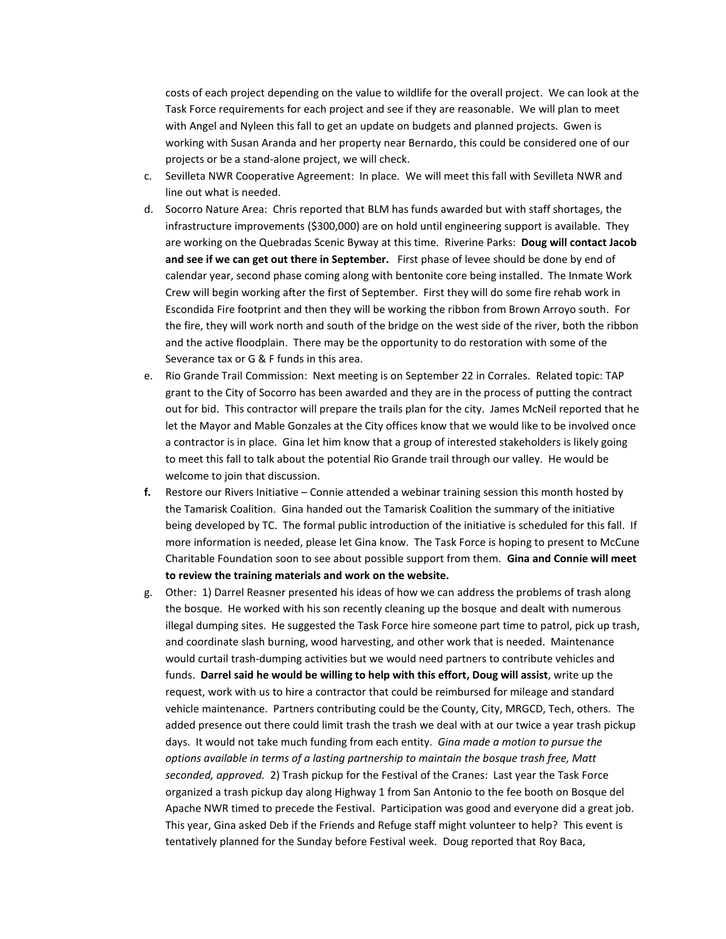costs of each project depending on the value to wildlife for the overall project. We can look at the Task Force requirements for each project and see if they are reasonable. We will plan to meet with Angel and Nyleen this fall to get an update on budgets and planned projects. Gwen is working with Susan Aranda and her property near Bernardo, this could be considered one of our projects or be a stand-alone project, we will check.

- c. Sevilleta NWR Cooperative Agreement: In place. We will meet this fall with Sevilleta NWR and line out what is needed.
- d. Socorro Nature Area: Chris reported that BLM has funds awarded but with staff shortages, the infrastructure improvements (\$300,000) are on hold until engineering support is available. They are working on the Quebradas Scenic Byway at this time. Riverine Parks: **Doug will contact Jacob and see if we can get out there in September.** First phase of levee should be done by end of calendar year, second phase coming along with bentonite core being installed. The Inmate Work Crew will begin working after the first of September. First they will do some fire rehab work in Escondida Fire footprint and then they will be working the ribbon from Brown Arroyo south. For the fire, they will work north and south of the bridge on the west side of the river, both the ribbon and the active floodplain. There may be the opportunity to do restoration with some of the Severance tax or G & F funds in this area.
- e. Rio Grande Trail Commission: Next meeting is on September 22 in Corrales. Related topic: TAP grant to the City of Socorro has been awarded and they are in the process of putting the contract out for bid. This contractor will prepare the trails plan for the city. James McNeil reported that he let the Mayor and Mable Gonzales at the City offices know that we would like to be involved once a contractor is in place. Gina let him know that a group of interested stakeholders is likely going to meet this fall to talk about the potential Rio Grande trail through our valley. He would be welcome to join that discussion.
- **f.** Restore our Rivers Initiative Connie attended a webinar training session this month hosted by the Tamarisk Coalition. Gina handed out the Tamarisk Coalition the summary of the initiative being developed by TC. The formal public introduction of the initiative is scheduled for this fall. If more information is needed, please let Gina know. The Task Force is hoping to present to McCune Charitable Foundation soon to see about possible support from them. **Gina and Connie will meet to review the training materials and work on the website.**
- g. Other: 1) Darrel Reasner presented his ideas of how we can address the problems of trash along the bosque. He worked with his son recently cleaning up the bosque and dealt with numerous illegal dumping sites. He suggested the Task Force hire someone part time to patrol, pick up trash, and coordinate slash burning, wood harvesting, and other work that is needed. Maintenance would curtail trash-dumping activities but we would need partners to contribute vehicles and funds. **Darrel said he would be willing to help with this effort, Doug will assist**, write up the request, work with us to hire a contractor that could be reimbursed for mileage and standard vehicle maintenance. Partners contributing could be the County, City, MRGCD, Tech, others. The added presence out there could limit trash the trash we deal with at our twice a year trash pickup days. It would not take much funding from each entity. *Gina made a motion to pursue the options available in terms of a lasting partnership to maintain the bosque trash free, Matt seconded, approved.* 2) Trash pickup for the Festival of the Cranes: Last year the Task Force organized a trash pickup day along Highway 1 from San Antonio to the fee booth on Bosque del Apache NWR timed to precede the Festival. Participation was good and everyone did a great job. This year, Gina asked Deb if the Friends and Refuge staff might volunteer to help? This event is tentatively planned for the Sunday before Festival week. Doug reported that Roy Baca,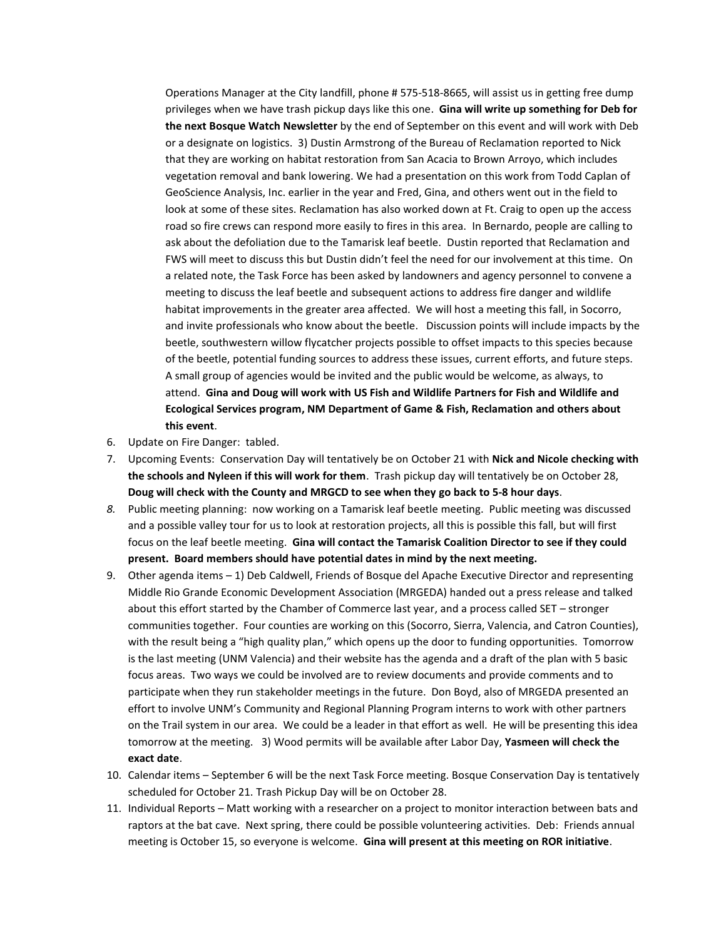Operations Manager at the City landfill, phone # 575-518-8665, will assist us in getting free dump privileges when we have trash pickup days like this one. **Gina will write up something for Deb for the next Bosque Watch Newsletter** by the end of September on this event and will work with Deb or a designate on logistics. 3) Dustin Armstrong of the Bureau of Reclamation reported to Nick that they are working on habitat restoration from San Acacia to Brown Arroyo, which includes vegetation removal and bank lowering. We had a presentation on this work from Todd Caplan of GeoScience Analysis, Inc. earlier in the year and Fred, Gina, and others went out in the field to look at some of these sites. Reclamation has also worked down at Ft. Craig to open up the access road so fire crews can respond more easily to fires in this area. In Bernardo, people are calling to ask about the defoliation due to the Tamarisk leaf beetle. Dustin reported that Reclamation and FWS will meet to discuss this but Dustin didn't feel the need for our involvement at this time. On a related note, the Task Force has been asked by landowners and agency personnel to convene a meeting to discuss the leaf beetle and subsequent actions to address fire danger and wildlife habitat improvements in the greater area affected. We will host a meeting this fall, in Socorro, and invite professionals who know about the beetle. Discussion points will include impacts by the beetle, southwestern willow flycatcher projects possible to offset impacts to this species because of the beetle, potential funding sources to address these issues, current efforts, and future steps. A small group of agencies would be invited and the public would be welcome, as always, to attend. **Gina and Doug will work with US Fish and Wildlife Partners for Fish and Wildlife and Ecological Services program, NM Department of Game & Fish, Reclamation and others about this event**.

- 6. Update on Fire Danger: tabled.
- 7. Upcoming Events: Conservation Day will tentatively be on October 21 with **Nick and Nicole checking with the schools and Nyleen if this will work for them**. Trash pickup day will tentatively be on October 28, **Doug will check with the County and MRGCD to see when they go back to 5-8 hour days**.
- *8.* Public meeting planning: now working on a Tamarisk leaf beetle meeting. Public meeting was discussed and a possible valley tour for us to look at restoration projects, all this is possible this fall, but will first focus on the leaf beetle meeting. **Gina will contact the Tamarisk Coalition Director to see if they could present. Board members should have potential dates in mind by the next meeting.**
- 9. Other agenda items 1) Deb Caldwell, Friends of Bosque del Apache Executive Director and representing Middle Rio Grande Economic Development Association (MRGEDA) handed out a press release and talked about this effort started by the Chamber of Commerce last year, and a process called SET – stronger communities together. Four counties are working on this (Socorro, Sierra, Valencia, and Catron Counties), with the result being a "high quality plan," which opens up the door to funding opportunities. Tomorrow is the last meeting (UNM Valencia) and their website has the agenda and a draft of the plan with 5 basic focus areas. Two ways we could be involved are to review documents and provide comments and to participate when they run stakeholder meetings in the future. Don Boyd, also of MRGEDA presented an effort to involve UNM's Community and Regional Planning Program interns to work with other partners on the Trail system in our area. We could be a leader in that effort as well. He will be presenting this idea tomorrow at the meeting. 3) Wood permits will be available after Labor Day, **Yasmeen will check the exact date**.
- 10. Calendar items September 6 will be the next Task Force meeting. Bosque Conservation Day is tentatively scheduled for October 21. Trash Pickup Day will be on October 28.
- 11. Individual Reports Matt working with a researcher on a project to monitor interaction between bats and raptors at the bat cave. Next spring, there could be possible volunteering activities. Deb: Friends annual meeting is October 15, so everyone is welcome. **Gina will present at this meeting on ROR initiative**.